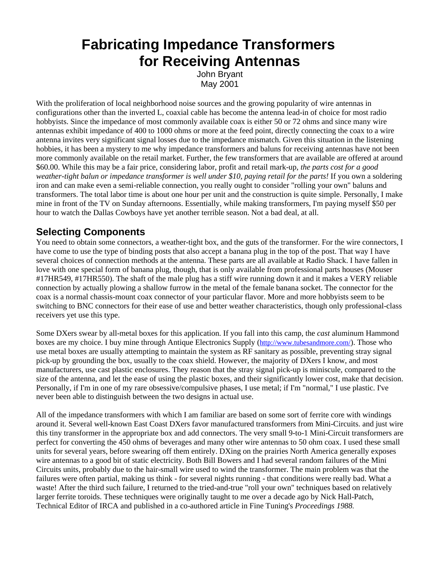# **Fabricating Impedance Transformers for Receiving Antennas**

John Bryant May 2001

With the proliferation of local neighborhood noise sources and the growing popularity of wire antennas in configurations other than the inverted L, coaxial cable has become the antenna lead-in of choice for most radio hobbyists. Since the impedance of most commonly available coax is either 50 or 72 ohms and since many wire antennas exhibit impedance of 400 to 1000 ohms or more at the feed point, directly connecting the coax to a wire antenna invites very significant signal losses due to the impedance mismatch. Given this situation in the listening hobbies, it has been a mystery to me why impedance transformers and baluns for receiving antennas have not been more commonly available on the retail market. Further, the few transformers that are available are offered at around \$60.00. While this may be a fair price, considering labor, profit and retail mark-up, *the parts cost for a good weather-tight balun or impedance transformer is well under \$10, paying retail for the parts!* If you own a soldering iron and can make even a semi-reliable connection, you really ought to consider "rolling your own" baluns and transformers. The total labor time is about one hour per unit and the construction is quite simple. Personally, I make mine in front of the TV on Sunday afternoons. Essentially, while making transformers, I'm paying myself \$50 per hour to watch the Dallas Cowboys have yet another terrible season. Not a bad deal, at all.

## **Selecting Components**

You need to obtain some connectors, a weather-tight box, and the guts of the transformer. For the wire connectors, I have come to use the type of binding posts that also accept a banana plug in the top of the post. That way I have several choices of connection methods at the antenna. These parts are all available at Radio Shack. I have fallen in love with one special form of banana plug, though, that is only available from professional parts houses (Mouser #17HR549, #17HR550). The shaft of the male plug has a stiff wire running down it and it makes a VERY reliable connection by actually plowing a shallow furrow in the metal of the female banana socket. The connector for the coax is a normal chassis-mount coax connector of your particular flavor. More and more hobbyists seem to be switching to BNC connectors for their ease of use and better weather characteristics, though only professional-class receivers yet use this type.

Some DXers swear by all-metal boxes for this application. If you fall into this camp, the *cast* aluminum Hammond boxes are my choice. I buy mine through Antique Electronics Supply (http://www.tubesandmore.com/). Those who use metal boxes are usually attempting to maintain the system as RF sanitary as possible, preventing stray signal pick-up by grounding the box, usually to the coax shield. However, the majority of DXers I know, and most manufacturers, use cast plastic enclosures. They reason that the stray signal pick-up is miniscule, compared to the size of the antenna, and let the ease of using the plastic boxes, and their significantly lower cost, make that decision. Personally, if I'm in one of my rare obsessive/compulsive phases, I use metal; if I'm "normal," I use plastic. I've never been able to distinguish between the two designs in actual use.

All of the impedance transformers with which I am familiar are based on some sort of ferrite core with windings around it. Several well-known East Coast DXers favor manufactured transformers from Mini-Circuits. and just wire this tiny transformer in the appropriate box and add connectors. The very small 9-to-1 Mini-Circuit transformers are perfect for converting the 450 ohms of beverages and many other wire antennas to 50 ohm coax. I used these small units for several years, before swearing off them entirely. DXing on the prairies North America generally exposes wire antennas to a good bit of static electricity. Both Bill Bowers and I had several random failures of the Mini Circuits units, probably due to the hair-small wire used to wind the transformer. The main problem was that the failures were often partial, making us think - for several nights running - that conditions were really bad. What a waste! After the third such failure, I returned to the tried-and-true "roll your own" techniques based on relatively larger ferrite toroids. These techniques were originally taught to me over a decade ago by Nick Hall-Patch, Technical Editor of IRCA and published in a co-authored article in Fine Tuning's *Proceedings 1988*.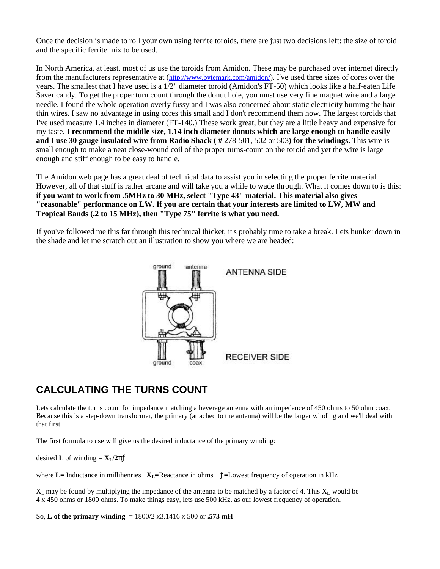Once the decision is made to roll your own using ferrite toroids, there are just two decisions left: the size of toroid and the specific ferrite mix to be used.

In North America, at least, most of us use the toroids from Amidon. These may be purchased over internet directly from the manufacturers representative at (http://www.bytemark.com/amidon/). I've used three sizes of cores over the years. The smallest that I have used is a 1/2" diameter toroid (Amidon's FT-50) which looks like a half-eaten Life Saver candy. To get the proper turn count through the donut hole, you must use very fine magnet wire and a large needle. I found the whole operation overly fussy and I was also concerned about static electricity burning the hairthin wires. I saw no advantage in using cores this small and I don't recommend them now. The largest toroids that I've used measure 1.4 inches in diameter (FT-140.) These work great, but they are a little heavy and expensive for my taste. **I recommend the middle size, 1.14 inch diameter donuts which are large enough to handle easily and I use 30 gauge insulated wire from Radio Shack (#278-501, 502 or 503) for the windings. This wire is** small enough to make a neat close-wound coil of the proper turns-count on the toroid and yet the wire is large enough and stiff enough to be easy to handle.

The Amidon web page has a great deal of technical data to assist you in selecting the proper ferrite material. However, all of that stuff is rather arcane and will take you a while to wade through. What it comes down to is this: **if you want to work from .5MHz to 30 MHz, select "Type 43" material. This material also gives "reasonable" performance on LW. If you are certain that your interests are limited to LW, MW and Tropical Bands (.2 to 15 MHz), then "Type 75" ferrite is what you need.**

If you've followed me this far through this technical thicket, it's probably time to take a break. Lets hunker down in the shade and let me scratch out an illustration to show you where we are headed:



## **CALCULATING THE TURNS COUNT**

Lets calculate the turns count for impedance matching a beverage antenna with an impedance of 450 ohms to 50 ohm coax. Because this is a step-down transformer, the primary (attached to the antenna) will be the larger winding and we'll deal with that first.

The first formula to use will give us the desired inductance of the primary winding:

desired **L** of winding =  $X_L/2p_l^T$ 

where  $\bf{L}$  = Inductance in millihenries  $\bf{X}_L$ =Reactance in ohms  $\bf{L}$  = Lowest frequency of operation in kHz

 $X_L$  may be found by multiplying the impedance of the antenna to be matched by a factor of 4. This  $X_L$  would be 4 x 450 ohms or 1800 ohms. To make things easy, lets use 500 kHz. as our lowest frequency of operation.

So, **L of the primary winding** = 1800/2 x3.1416 x 500 or **.573 mH**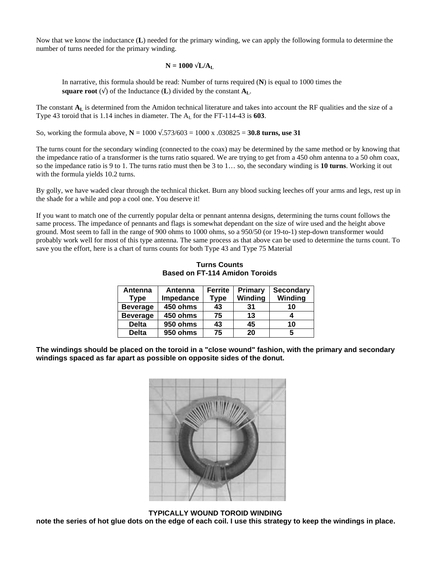Now that we know the inductance (**L**) needed for the primary winding, we can apply the following formula to determine the number of turns needed for the primary winding.

#### $N = 1000 \ddot{\textbf{O}} L/A_L$

In narrative, this formula should be read: Number of turns required (**N**) is equal to 1000 times the **square root** ( $\ddot{\mathbf{0}}$ ) of the Inductance (**L**) divided by the constant  $\mathbf{A}_{\mathbf{L}}$ .

The constant  $A_L$  is determined from the Amidon technical literature and takes into account the RF qualities and the size of a Type 43 toroid that is 1.14 inches in diameter. The  $A_I$  for the FT-114-43 is 603.

So, working the formula above,  $N = 1000 \sqrt{0.573/603} = 1000 \times 0.030825 = 30.8$  turns, use 31

The turns count for the secondary winding (connected to the coax) may be determined by the same method or by knowing that the impedance ratio of a transformer is the turns ratio squared. We are trying to get from a 450 ohm antenna to a 50 ohm coax, so the impedance ratio is 9 to 1. The turns ratio must then be 3 to 1… so, the secondary winding is **10 turns**. Working it out with the formula yields 10.2 turns.

By golly, we have waded clear through the technical thicket. Burn any blood sucking leeches off your arms and legs, rest up in the shade for a while and pop a cool one. You deserve it!

If you want to match one of the currently popular delta or pennant antenna designs, determining the turns count follows the same process. The impedance of pennants and flags is somewhat dependant on the size of wire used and the height above ground. Most seem to fall in the range of 900 ohms to 1000 ohms, so a 950/50 (or 19-to-1) step-down transformer would probably work well for most of this type antenna. The same process as that above can be used to determine the turns count. To save you the effort, here is a chart of turns counts for both Type 43 and Type 75 Material

| Antenna<br><b>Type</b> | Antenna<br>Impedance | <b>Ferrite</b><br><b>Type</b> | Primary<br>Winding | <b>Secondary</b><br>Winding |
|------------------------|----------------------|-------------------------------|--------------------|-----------------------------|
| <b>Beverage</b>        | 450 ohms             | 43                            | 31                 | 10                          |
| <b>Beverage</b>        | 450 ohms             | 75                            | 13                 |                             |
| <b>Delta</b>           | 950 ohms             | 43                            | 45                 | 10                          |
| <b>Delta</b>           | 950 ohms             | 75                            | 20                 |                             |

**Turns Counts Based on FT-114 Amidon Toroids**

**The windings should be placed on the toroid in a "close wound" fashion, with the primary and secondary windings spaced as far apart as possible on opposite sides of the donut.** 



 **TYPICALLY WOUND TOROID WINDING note the series of hot glue dots on the edge of each coil. I use this strategy to keep the windings in place.**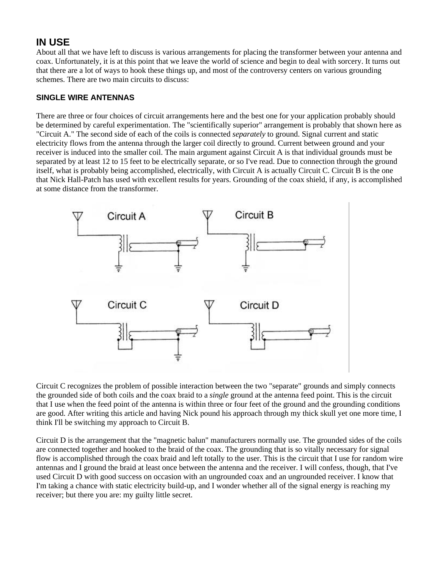## **IN USE**

About all that we have left to discuss is various arrangements for placing the transformer between your antenna and coax. Unfortunately, it is at this point that we leave the world of science and begin to deal with sorcery. It turns out that there are a lot of ways to hook these things up, and most of the controversy centers on various grounding schemes. There are two main circuits to discuss:

#### **SINGLE WIRE ANTENNAS**

There are three or four choices of circuit arrangements here and the best one for your application probably should be determined by careful experimentation. The "scientifically superior" arrangement is probably that shown here as "Circuit A." The second side of each of the coils is connected *separately* to ground. Signal current and static electricity flows from the antenna through the larger coil directly to ground. Current between ground and your receiver is induced into the smaller coil. The main argument against Circuit A is that individual grounds must be separated by at least 12 to 15 feet to be electrically separate, or so I've read. Due to connection through the ground itself, what is probably being accomplished, electrically, with Circuit A is actually Circuit C. Circuit B is the one that Nick Hall-Patch has used with excellent results for years. Grounding of the coax shield, if any, is accomplished at some distance from the transformer.



Circuit C recognizes the problem of possible interaction between the two "separate" grounds and simply connects the grounded side of both coils and the coax braid to a *single* ground at the antenna feed point. This is the circuit that I use when the feed point of the antenna is within three or four feet of the ground and the grounding conditions are good. After writing this article and having Nick pound his approach through my thick skull yet one more time, I think I'll be switching my approach to Circuit B.

Circuit D is the arrangement that the "magnetic balun" manufacturers normally use. The grounded sides of the coils are connected together and hooked to the braid of the coax. The grounding that is so vitally necessary for signal flow is accomplished through the coax braid and left totally to the user. This is the circuit that I use for random wire antennas and I ground the braid at least once between the antenna and the receiver. I will confess, though, that I've used Circuit D with good success on occasion with an ungrounded coax and an ungrounded receiver. I know that I'm taking a chance with static electricity build-up, and I wonder whether all of the signal energy is reaching my receiver; but there you are: my guilty little secret.